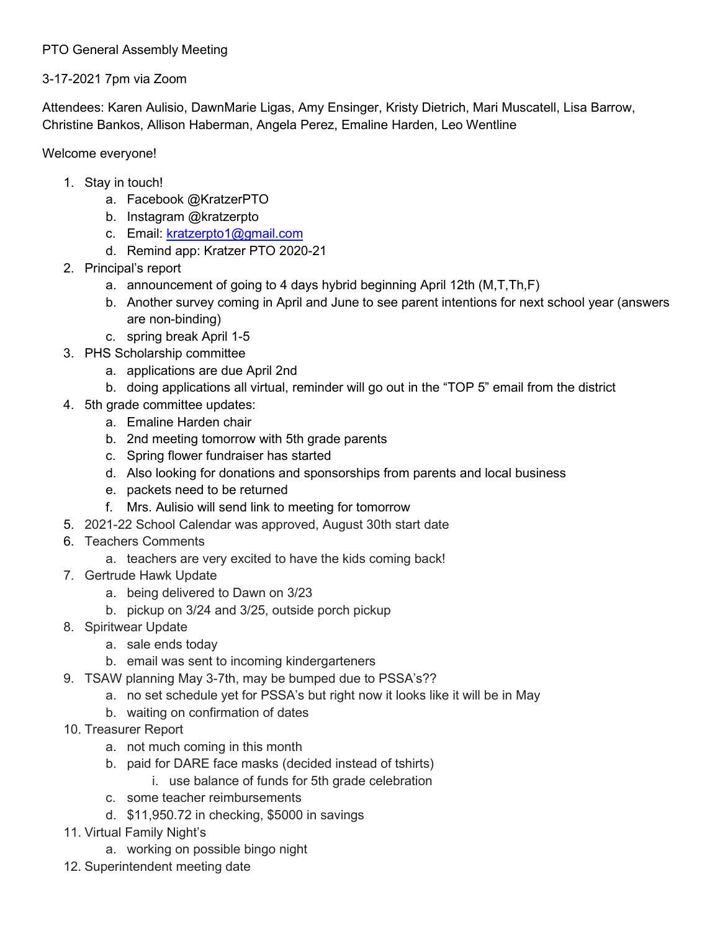## PTO General Assembly Meeting

## 3-17-2021 7pm via Zoom

Attendees: Karen Aulisio, DawnMarie Ligas, Amy Ensinger, Kristy Dietrich, Mari Muscatell, Lisa Barrow, Christine Bankos, Allison Haberman, Angela Perez, Emaline Harden, Leo Wentline

## Welcome everyone!

- 1. Stay in touch!
	- a. Facebook @KratzerPTO
	- b. Instagram @kratzerpto
	- c. Email: [kratzerpto1@gmail.com](mailto:kratzerpto1@gmail.com)
	- d. Remind app: Kratzer PTO 2020-21
- 2. Principal's report
	- a. announcement of going to 4 days hybrid beginning April 12th (M,T,Th,F)
	- b. Another survey coming in April and June to see parent intentions for next school year (answers are non-binding)
	- c. spring break April 1-5
- 3. PHS Scholarship committee
	- a. applications are due April 2nd
	- b. doing applications all virtual, reminder will go out in the "TOP 5" email from the district
- 4. 5th grade committee updates:
	- a. Emaline Harden chair
	- b. 2nd meeting tomorrow with 5th grade parents
	- c. Spring flower fundraiser has started
	- d. Also looking for donations and sponsorships from parents and local business
	- e. packets need to be returned
	- f. Mrs. Aulisio will send link to meeting for tomorrow
- 5. 2021-22 School Calendar was approved, August 30th start date
- 6. Teachers Comments
	- a. teachers are very excited to have the kids coming back!
- 7. Gertrude Hawk Update
	- a. being delivered to Dawn on 3/23
	- b. pickup on 3/24 and 3/25, outside porch pickup
- 8. Spiritwear Update
	- a. sale ends today
	- b. email was sent to incoming kindergarteners
- 9. TSAW planning May 3-7th, may be bumped due to PSSA's??
	- a. no set schedule yet for PSSA's but right now it looks like it will be in May
	- b. waiting on confirmation of dates
- 10. Treasurer Report
	- a. not much coming in this month
	- b. paid for DARE face masks (decided instead of tshirts)
		- i. use balance of funds for 5th grade celebration
	- c. some teacher reimbursements
	- d. \$11,950.72 in checking, \$5000 in savings
- 11. Virtual Family Night's
	- a. working on possible bingo night
- 12. Superintendent meeting date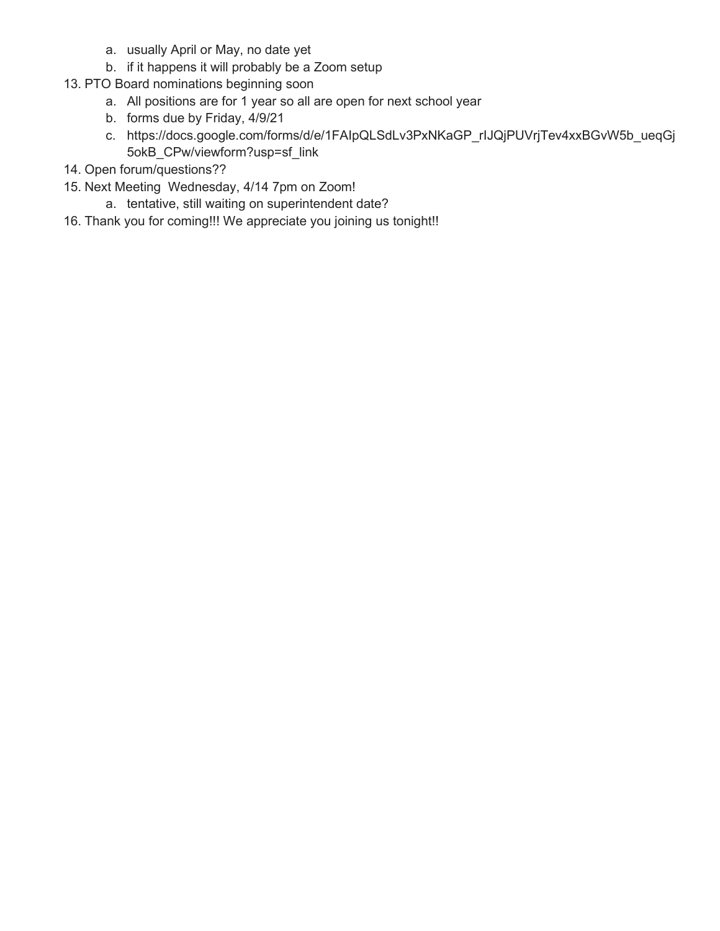- a. usually April or May, no date yet
- b. if it happens it will probably be a Zoom setup
- 13. PTO Board nominations beginning soon
	- a. All positions are for 1 year so all are open for next school year
	- b. forms due by Friday, 4/9/21
	- c. https://docs.google.com/forms/d/e/1FAIpQLSdLv3PxNKaGP\_rIJQjPUVrjTev4xxBGvW5b\_ueqGj 5okB\_CPw/viewform?usp=sf\_link
- 14. Open forum/questions??
- 15. Next Meeting Wednesday, 4/14 7pm on Zoom!
	- a. tentative, still waiting on superintendent date?
- 16. Thank you for coming!!! We appreciate you joining us tonight!!